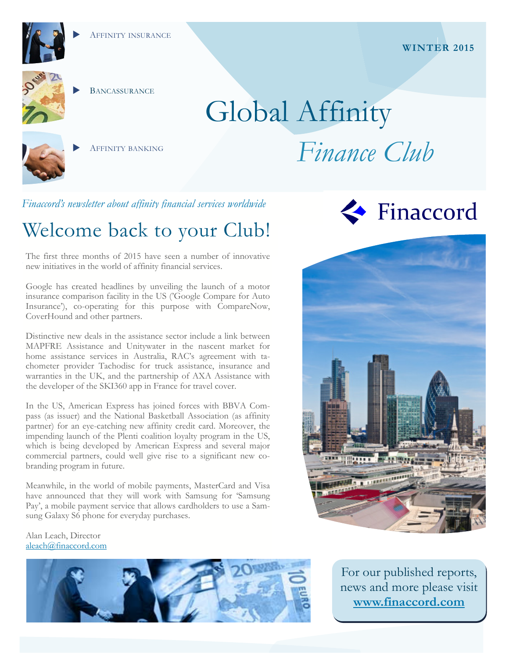



**BANCASSURANCE** 

Global Affinity *Finance Club* 

*Finaccord's newsletter about affinity financial services worldwide* 

AFFINITY BANKING

# Welcome back to your Club!

The first three months of 2015 have seen a number of innovative new initiatives in the world of affinity financial services.

Google has created headlines by unveiling the launch of a motor insurance comparison facility in the US ('Google Compare for Auto Insurance'), co-operating for this purpose with CompareNow, CoverHound and other partners.

Distinctive new deals in the assistance sector include a link between MAPFRE Assistance and Unitywater in the nascent market for home assistance services in Australia, RAC's agreement with tachometer provider Tachodisc for truck assistance, insurance and warranties in the UK, and the partnership of AXA Assistance with the developer of the SKI360 app in France for travel cover.

In the US, American Express has joined forces with BBVA Compass (as issuer) and the National Basketball Association (as affinity partner) for an eye-catching new affinity credit card. Moreover, the impending launch of the Plenti coalition loyalty program in the US, which is being developed by American Express and several major commercial partners, could well give rise to a significant new cobranding program in future.

Meanwhile, in the world of mobile payments, MasterCard and Visa have announced that they will work with Samsung for 'Samsung Pay', a mobile payment service that allows cardholders to use a Samsung Galaxy S6 phone for everyday purchases.

### Alan Leach, Director aleach@finaccord.com







For our published reports, news and more please visit **www.finaccord.com**

### **WINTER 2015**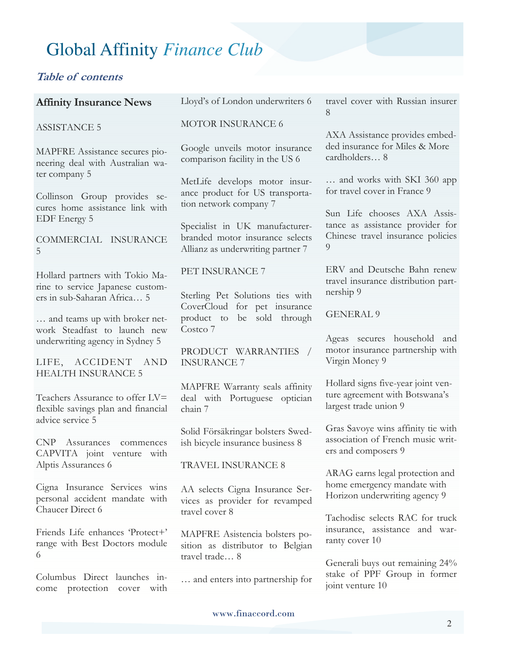### **Table of contents**

ter company 5

5

### **Affinity Insurance News**  ASSISTANCE 5 MAPFRE Assistance secures pioneering deal with Australian wa-Collinson Group provides secures home assistance link with EDF Energy 5 COMMERCIAL INSURANCE Hollard partners with Tokio Ma-Lloyd's of London underwriters 6 MOTOR INSURANCE 6 Google unveils motor insurance comparison facility in the US 6 MetLife develops motor insurance product for US transportation network company 7 Specialist in UK manufacturerbranded motor insurance selects Allianz as underwriting partner 7 PET INSURANCE 7 Sterling Pet Solutions ties with CoverCloud for pet insurance product to be sold through Costco 7 PRODUCT WARRANTIES / INSURANCE 7 MAPFRE Warranty seals affinity deal with Portuguese optician chain 7 Solid Försäkringar bolsters Swedish bicycle insurance business 8 TRAVEL INSURANCE 8 AA selects Cigna Insurance Services as provider for revamped travel cover 8 MAPFRE Asistencia bolsters position as distributor to Belgian travel trade… 8 8 9 nership 9

… and enters into partnership for

travel cover with Russian insurer

AXA Assistance provides embedded insurance for Miles & More cardholders… 8

… and works with SKI 360 app for travel cover in France 9

Sun Life chooses AXA Assistance as assistance provider for Chinese travel insurance policies

ERV and Deutsche Bahn renew travel insurance distribution part-

### GENERAL 9

Ageas secures household and motor insurance partnership with Virgin Money 9

Hollard signs five-year joint venture agreement with Botswana's largest trade union 9

Gras Savoye wins affinity tie with association of French music writers and composers 9

ARAG earns legal protection and home emergency mandate with Horizon underwriting agency 9

Tachodisc selects RAC for truck insurance, assistance and warranty cover 10

Generali buys out remaining 24% stake of PPF Group in former joint venture 10

# rine to service Japanese customers in sub-Saharan Africa… 5

… and teams up with broker network Steadfast to launch new underwriting agency in Sydney 5

LIFE, ACCIDENT AND HEALTH INSURANCE 5

Teachers Assurance to offer LV= flexible savings plan and financial advice service 5

CNP Assurances commences CAPVITA joint venture with Alptis Assurances 6

Cigna Insurance Services wins personal accident mandate with Chaucer Direct 6

Friends Life enhances 'Protect+' range with Best Doctors module 6

Columbus Direct launches income protection cover with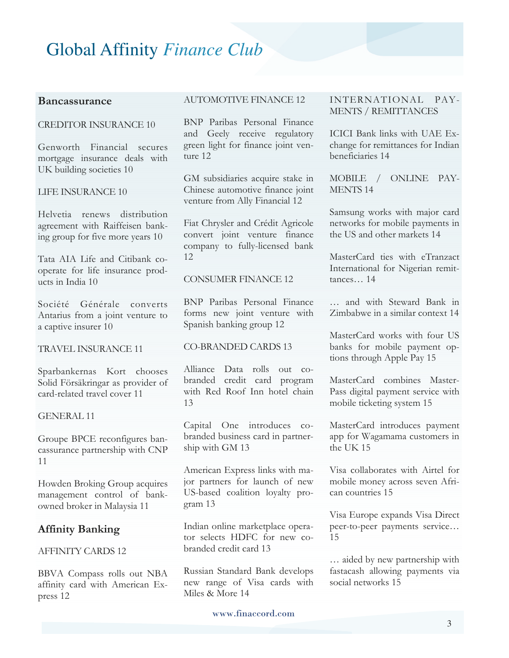### **Bancassurance**

### CREDITOR INSURANCE 10

Genworth Financial secures mortgage insurance deals with UK building societies 10

### LIFE INSURANCE 10

Helvetia renews distribution agreement with Raiffeisen banking group for five more years 10

Tata AIA Life and Citibank cooperate for life insurance products in India 10

Société Générale converts Antarius from a joint venture to a captive insurer 10

### TRAVEL INSURANCE 11

Sparbankernas Kort chooses Solid Försäkringar as provider of card-related travel cover 11

### GENERAL 11

Groupe BPCE reconfigures bancassurance partnership with CNP 11

Howden Broking Group acquires management control of bankowned broker in Malaysia 11

### **Affinity Banking**

### AFFINITY CARDS 12

BBVA Compass rolls out NBA affinity card with American Express 12

### AUTOMOTIVE FINANCE 12

BNP Paribas Personal Finance and Geely receive regulatory green light for finance joint venture 12

GM subsidiaries acquire stake in Chinese automotive finance joint venture from Ally Financial 12

Fiat Chrysler and Crédit Agricole convert joint venture finance company to fully-licensed bank 12

### CONSUMER FINANCE 12

BNP Paribas Personal Finance forms new joint venture with Spanish banking group 12

### CO-BRANDED CARDS 13

Alliance Data rolls out cobranded credit card program with Red Roof Inn hotel chain 13

Capital One introduces cobranded business card in partnership with GM 13

American Express links with major partners for launch of new US-based coalition loyalty program 13

Indian online marketplace operator selects HDFC for new cobranded credit card 13

Russian Standard Bank develops new range of Visa cards with Miles & More 14

MENTS / REMITTANCES

INTERNATIONAL PAY-

ICICI Bank links with UAE Exchange for remittances for Indian beneficiaries 14

MOBILE / ONLINE PAY-MENTS 14

Samsung works with major card networks for mobile payments in the US and other markets 14

MasterCard ties with eTranzact International for Nigerian remittances… 14

… and with Steward Bank in Zimbabwe in a similar context 14

MasterCard works with four US banks for mobile payment options through Apple Pay 15

MasterCard combines Master-Pass digital payment service with mobile ticketing system 15

MasterCard introduces payment app for Wagamama customers in the UK 15

Visa collaborates with Airtel for mobile money across seven African countries 15

Visa Europe expands Visa Direct peer-to-peer payments service… 15

… aided by new partnership with fastacash allowing payments via social networks 15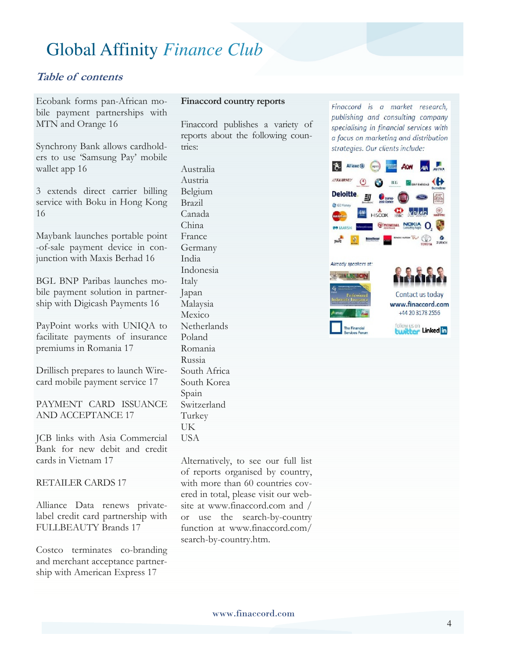### **Table of contents**

Ecobank forms pan-African mobile payment partnerships with MTN and Orange 16

Synchrony Bank allows cardholders to use 'Samsung Pay' mobile wallet app 16

3 extends direct carrier billing service with Boku in Hong Kong 16

Maybank launches portable point -of-sale payment device in conjunction with Maxis Berhad 16

BGL BNP Paribas launches mobile payment solution in partnership with Digicash Payments 16

PayPoint works with UNIQA to facilitate payments of insurance premiums in Romania 17

Drillisch prepares to launch Wirecard mobile payment service 17

PAYMENT CARD ISSUANCE AND ACCEPTANCE 17

JCB links with Asia Commercial Bank for new debit and credit cards in Vietnam 17

### RETAILER CARDS 17

Alliance Data renews privatelabel credit card partnership with FULLBEAUTY Brands 17

Costco terminates co-branding and merchant acceptance partnership with American Express 17

### **Finaccord country reports**

Finaccord publishes a variety of reports about the following countries:

Australia Austria Belgium Brazil Canada China France Germany India Indonesia Italy Japan Malaysia Mexico **Netherlands** Poland Romania Russia South Africa South Korea Spain Switzerland Turkey UK USA

Alternatively, to see our full list of reports organised by country, with more than 60 countries covered in total, please visit our website at www.finaccord.com and / or use the search-by-country function at www.finaccord.com/ search-by-country.htm.

Finaccord is a market research, publishing and consulting company specialising in financial services with a focus on marketing and distribution strategies. Our clients include:

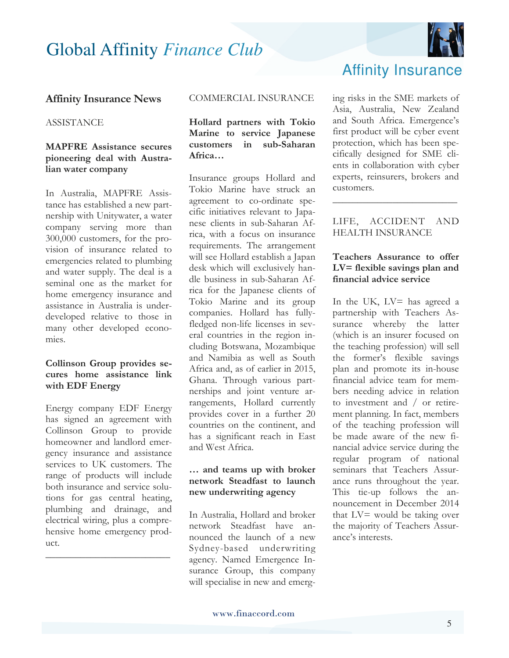

### **Affinity Insurance News**

### ASSISTANCE

### **MAPFRE Assistance secures pioneering deal with Australian water company**

In Australia, MAPFRE Assistance has established a new partnership with Unitywater, a water company serving more than 300,000 customers, for the provision of insurance related to emergencies related to plumbing and water supply. The deal is a seminal one as the market for home emergency insurance and assistance in Australia is underdeveloped relative to those in many other developed economies.

### **Collinson Group provides secures home assistance link with EDF Energy**

Energy company EDF Energy has signed an agreement with Collinson Group to provide homeowner and landlord emergency insurance and assistance services to UK customers. The range of products will include both insurance and service solutions for gas central heating, plumbing and drainage, and electrical wiring, plus a comprehensive home emergency product.

\_\_\_\_\_\_\_\_\_\_\_\_\_\_\_\_\_\_\_\_\_\_\_\_\_

### COMMERCIAL INSURANCE

### **Hollard partners with Tokio Marine to service Japanese customers in sub-Saharan Africa…**

Insurance groups Hollard and Tokio Marine have struck an agreement to co-ordinate specific initiatives relevant to Japanese clients in sub-Saharan Africa, with a focus on insurance requirements. The arrangement will see Hollard establish a Japan desk which will exclusively handle business in sub-Saharan Africa for the Japanese clients of Tokio Marine and its group companies. Hollard has fullyfledged non-life licenses in several countries in the region including Botswana, Mozambique and Namibia as well as South Africa and, as of earlier in 2015, Ghana. Through various partnerships and joint venture arrangements, Hollard currently provides cover in a further 20 countries on the continent, and has a significant reach in East and West Africa.

### **… and teams up with broker network Steadfast to launch new underwriting agency**

In Australia, Hollard and broker network Steadfast have announced the launch of a new Sydney-based underwriting agency. Named Emergence Insurance Group, this company will specialise in new and emerg-

### Affinity Insurance

ing risks in the SME markets of Asia, Australia, New Zealand and South Africa. Emergence's first product will be cyber event protection, which has been specifically designed for SME clients in collaboration with cyber experts, reinsurers, brokers and customers.

### LIFE, ACCIDENT AND HEALTH INSURANCE

\_\_\_\_\_\_\_\_\_\_\_\_\_\_\_\_\_\_\_\_\_\_\_\_\_

### **Teachers Assurance to offer LV= flexible savings plan and financial advice service**

In the UK, LV= has agreed a partnership with Teachers Assurance whereby the latter (which is an insurer focused on the teaching profession) will sell the former's flexible savings plan and promote its in-house financial advice team for members needing advice in relation to investment and / or retirement planning. In fact, members of the teaching profession will be made aware of the new financial advice service during the regular program of national seminars that Teachers Assurance runs throughout the year. This tie-up follows the announcement in December 2014 that  $LV =$  would be taking over the majority of Teachers Assurance's interests.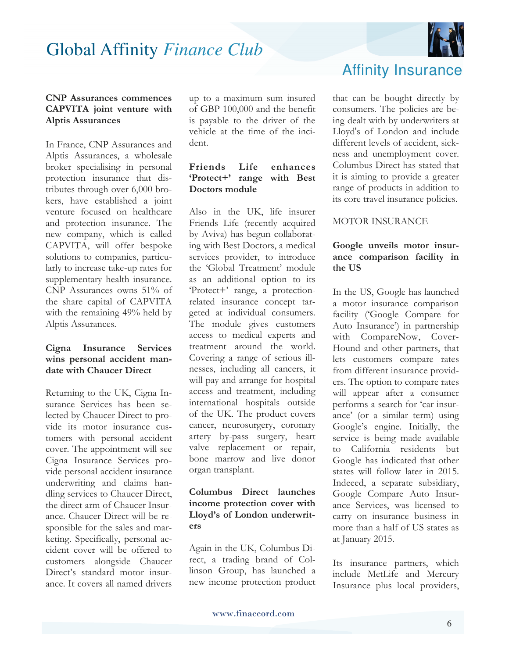

### **CNP Assurances commences CAPVITA joint venture with Alptis Assurances**

In France, CNP Assurances and Alptis Assurances, a wholesale broker specialising in personal protection insurance that distributes through over 6,000 brokers, have established a joint venture focused on healthcare and protection insurance. The new company, which is called CAPVITA, will offer bespoke solutions to companies, particularly to increase take-up rates for supplementary health insurance. CNP Assurances owns 51% of the share capital of CAPVITA with the remaining 49% held by Alptis Assurances.

### **Cigna Insurance Services wins personal accident mandate with Chaucer Direct**

Returning to the UK, Cigna Insurance Services has been selected by Chaucer Direct to provide its motor insurance customers with personal accident cover. The appointment will see Cigna Insurance Services provide personal accident insurance underwriting and claims handling services to Chaucer Direct, the direct arm of Chaucer Insurance. Chaucer Direct will be responsible for the sales and marketing. Specifically, personal accident cover will be offered to customers alongside Chaucer Direct's standard motor insurance. It covers all named drivers

up to a maximum sum insured of GBP 100,000 and the benefit is payable to the driver of the vehicle at the time of the incident.

### **Friends Life enhances 'Protect+' range with Best Doctors module**

Also in the UK, life insurer Friends Life (recently acquired by Aviva) has begun collaborating with Best Doctors, a medical services provider, to introduce the 'Global Treatment' module as an additional option to its 'Protect+' range, a protectionrelated insurance concept targeted at individual consumers. The module gives customers access to medical experts and treatment around the world. Covering a range of serious illnesses, including all cancers, it will pay and arrange for hospital access and treatment, including international hospitals outside of the UK. The product covers cancer, neurosurgery, coronary artery by-pass surgery, heart valve replacement or repair, bone marrow and live donor organ transplant.

### **Columbus Direct launches income protection cover with Lloyd's of London underwriters**

Again in the UK, Columbus Direct, a trading brand of Collinson Group, has launched a new income protection product Affinity Insurance

that can be bought directly by consumers. The policies are being dealt with by underwriters at Lloyd's of London and include different levels of accident, sickness and unemployment cover. Columbus Direct has stated that it is aiming to provide a greater range of products in addition to its core travel insurance policies.

### MOTOR INSURANCE

### **Google unveils motor insurance comparison facility in the US**

In the US, Google has launched a motor insurance comparison facility ('Google Compare for Auto Insurance') in partnership with CompareNow, Cover-Hound and other partners, that lets customers compare rates from different insurance providers. The option to compare rates will appear after a consumer performs a search for 'car insurance' (or a similar term) using Google's engine. Initially, the service is being made available to California residents but Google has indicated that other states will follow later in 2015. Indeeed, a separate subsidiary, Google Compare Auto Insurance Services, was licensed to carry on insurance business in more than a half of US states as at January 2015.

Its insurance partners, which include MetLife and Mercury Insurance plus local providers,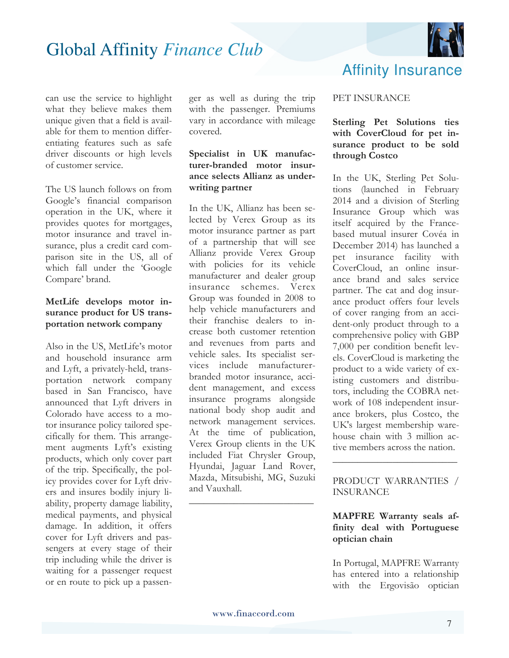

can use the service to highlight what they believe makes them unique given that a field is available for them to mention differentiating features such as safe driver discounts or high levels of customer service.

The US launch follows on from Google's financial comparison operation in the UK, where it provides quotes for mortgages, motor insurance and travel insurance, plus a credit card comparison site in the US, all of which fall under the 'Google Compare' brand.

### **MetLife develops motor insurance product for US transportation network company**

Also in the US, MetLife's motor and household insurance arm and Lyft, a privately-held, transportation network company based in San Francisco, have announced that Lyft drivers in Colorado have access to a motor insurance policy tailored specifically for them. This arrangement augments Lyft's existing products, which only cover part of the trip. Specifically, the policy provides cover for Lyft drivers and insures bodily injury liability, property damage liability, medical payments, and physical damage. In addition, it offers cover for Lyft drivers and passengers at every stage of their trip including while the driver is waiting for a passenger request or en route to pick up a passenger as well as during the trip with the passenger. Premiums vary in accordance with mileage covered.

### **Specialist in UK manufacturer-branded motor insurance selects Allianz as underwriting partner**

In the UK, Allianz has been selected by Verex Group as its motor insurance partner as part of a partnership that will see Allianz provide Verex Group with policies for its vehicle manufacturer and dealer group insurance schemes. Verex Group was founded in 2008 to help vehicle manufacturers and their franchise dealers to increase both customer retention and revenues from parts and vehicle sales. Its specialist services include manufacturerbranded motor insurance, accident management, and excess insurance programs alongside national body shop audit and network management services. At the time of publication, Verex Group clients in the UK included Fiat Chrysler Group, Hyundai, Jaguar Land Rover, Mazda, Mitsubishi, MG, Suzuki and Vauxhall.

## Affinity Insurance

### PET INSURANCE

### **Sterling Pet Solutions ties with CoverCloud for pet insurance product to be sold through Costco**

In the UK, Sterling Pet Solutions (launched in February 2014 and a division of Sterling Insurance Group which was itself acquired by the Francebased mutual insurer Covéa in December 2014) has launched a pet insurance facility with CoverCloud, an online insurance brand and sales service partner. The cat and dog insurance product offers four levels of cover ranging from an accident-only product through to a comprehensive policy with GBP 7,000 per condition benefit levels. CoverCloud is marketing the product to a wide variety of existing customers and distributors, including the COBRA network of 108 independent insurance brokers, plus Costco, the UK's largest membership warehouse chain with 3 million active members across the nation.

PRODUCT WARRANTIES / INSURANCE

\_\_\_\_\_\_\_\_\_\_\_\_\_\_\_\_\_\_\_\_\_\_\_\_\_

### **MAPFRE Warranty seals affinity deal with Portuguese optician chain**

In Portugal, MAPFRE Warranty has entered into a relationship with the Ergovisão optician

\_\_\_\_\_\_\_\_\_\_\_\_\_\_\_\_\_\_\_\_\_\_\_\_\_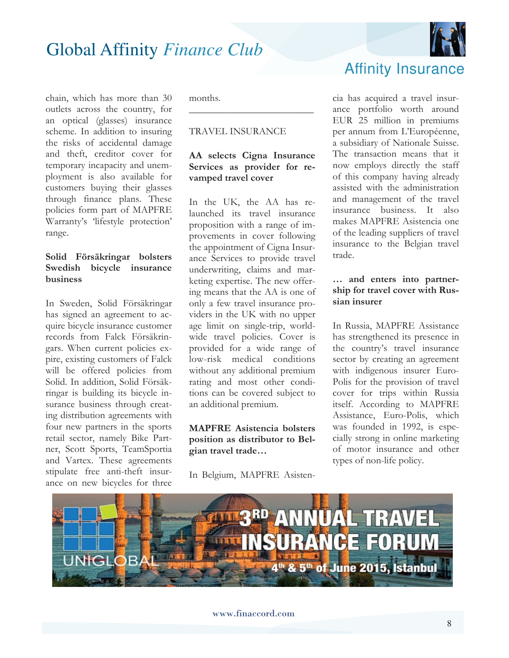chain, which has more than 30 outlets across the country, for an optical (glasses) insurance scheme. In addition to insuring the risks of accidental damage and theft, creditor cover for temporary incapacity and unemployment is also available for customers buying their glasses through finance plans. These policies form part of MAPFRE Warranty's 'lifestyle protection' range.

### **Solid Försäkringar bolsters Swedish bicycle insurance business**

In Sweden, Solid Försäkringar has signed an agreement to acquire bicycle insurance customer records from Falck Försäkringars. When current policies expire, existing customers of Falck will be offered policies from Solid. In addition, Solid Försäkringar is building its bicycle insurance business through creating distribution agreements with four new partners in the sports retail sector, namely Bike Partner, Scott Sports, TeamSportia and Vartex. These agreements stipulate free anti-theft insurance on new bicycles for three

months.

TRAVEL INSURANCE

### **AA selects Cigna Insurance Services as provider for revamped travel cover**

\_\_\_\_\_\_\_\_\_\_\_\_\_\_\_\_\_\_\_\_\_\_\_\_\_

In the UK, the AA has relaunched its travel insurance proposition with a range of improvements in cover following the appointment of Cigna Insurance Services to provide travel underwriting, claims and marketing expertise. The new offering means that the AA is one of only a few travel insurance providers in the UK with no upper age limit on single-trip, worldwide travel policies. Cover is provided for a wide range of low-risk medical conditions without any additional premium rating and most other conditions can be covered subject to an additional premium.

### **MAPFRE Asistencia bolsters position as distributor to Belgian travel trade…**

In Belgium, MAPFRE Asisten-



cia has acquired a travel insurance portfolio worth around EUR 25 million in premiums per annum from L'Européenne, a subsidiary of Nationale Suisse. The transaction means that it now employs directly the staff of this company having already assisted with the administration and management of the travel insurance business. It also makes MAPFRE Asistencia one of the leading suppliers of travel insurance to the Belgian travel trade.

### **… and enters into partnership for travel cover with Russian insurer**

In Russia, MAPFRE Assistance has strengthened its presence in the country's travel insurance sector by creating an agreement with indigenous insurer Euro-Polis for the provision of travel cover for trips within Russia itself. According to MAPFRE Assistance, Euro-Polis, which was founded in 1992, is especially strong in online marketing of motor insurance and other types of non-life policy.

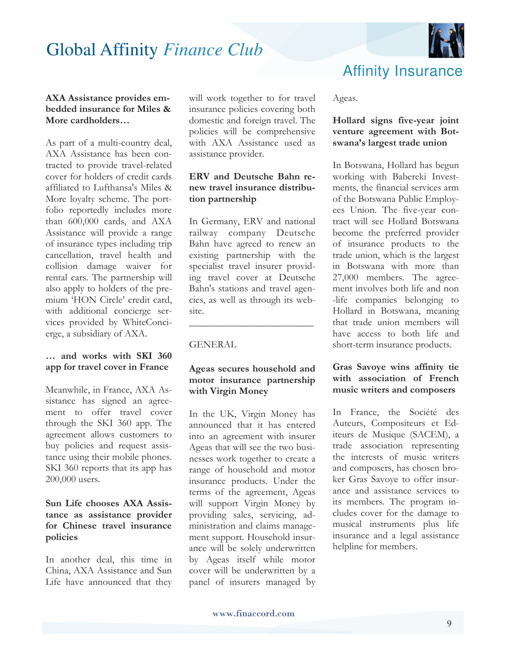

### **AXA Assistance provides embedded insurance for Miles & More cardholders…**

As part of a multi-country deal, AXA Assistance has been contracted to provide travel-related cover for holders of credit cards affiliated to Lufthansa's Miles & More loyalty scheme. The portfolio reportedly includes more than 600,000 cards, and AXA Assistance will provide a range of insurance types including trip cancellation, travel health and collision damage waiver for rental cars. The partnership will also apply to holders of the premium 'HON Circle' credit card, with additional concierge services provided by WhiteConcierge, a subsidiary of AXA.

### **… and works with SKI 360 app for travel cover in France**

Meanwhile, in France, AXA Assistance has signed an agreement to offer travel cover through the SKI 360 app. The agreement allows customers to buy policies and request assistance using their mobile phones. SKI 360 reports that its app has 200,000 users.

### **Sun Life chooses AXA Assistance as assistance provider for Chinese travel insurance policies**

In another deal, this time in China, AXA Assistance and Sun Life have announced that they

will work together to for travel insurance policies covering both domestic and foreign travel. The policies will be comprehensive with AXA Assistance used as assistance provider.

### **ERV and Deutsche Bahn renew travel insurance distribution partnership**

In Germany, ERV and national railway company Deutsche Bahn have agreed to renew an existing partnership with the specialist travel insurer providing travel cover at Deutsche Bahn's stations and travel agencies, as well as through its website.

### GENERAL

### **Ageas secures household and motor insurance partnership with Virgin Money**

\_\_\_\_\_\_\_\_\_\_\_\_\_\_\_\_\_\_\_\_\_\_\_\_\_

In the UK, Virgin Money has announced that it has entered into an agreement with insurer Ageas that will see the two businesses work together to create a range of household and motor insurance products. Under the terms of the agreement, Ageas will support Virgin Money by providing sales, servicing, administration and claims management support. Household insurance will be solely underwritten by Ageas itself while motor cover will be underwritten by a panel of insurers managed by

## Affinity Insurance

Ageas.

### **Hollard signs five-year joint venture agreement with Botswana's largest trade union**

In Botswana, Hollard has begun working with Babereki Investments, the financial services arm of the Botswana Public Employees Union. The five-year contract will see Hollard Botswana become the preferred provider of insurance products to the trade union, which is the largest in Botswana with more than 27,000 members. The agreement involves both life and non -life companies belonging to Hollard in Botswana, meaning that trade union members will have access to both life and short-term insurance products.

### **Gras Savoye wins affinity tie with association of French music writers and composers**

In France, the Société des Auteurs, Compositeurs et Editeurs de Musique (SACEM), a trade association representing the interests of music writers and composers, has chosen broker Gras Savoye to offer insurance and assistance services to its members. The program includes cover for the damage to musical instruments plus life insurance and a legal assistance helpline for members.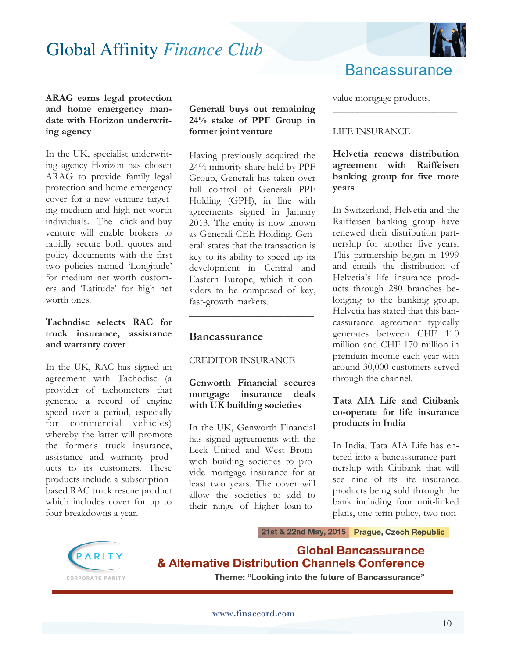

### **Bancassurance**

\_\_\_\_\_\_\_\_\_\_\_\_\_\_\_\_\_\_\_\_\_\_\_\_\_

### **ARAG earns legal protection and home emergency mandate with Horizon underwriting agency**

In the UK, specialist underwriting agency Horizon has chosen ARAG to provide family legal protection and home emergency cover for a new venture targeting medium and high net worth individuals. The click-and-buy venture will enable brokers to rapidly secure both quotes and policy documents with the first two policies named 'Longitude' for medium net worth customers and 'Latitude' for high net worth ones.

### **Tachodisc selects RAC for truck insurance, assistance and warranty cover**

In the UK, RAC has signed an agreement with Tachodisc (a provider of tachometers that generate a record of engine speed over a period, especially for commercial vehicles) whereby the latter will promote the former's truck insurance, assistance and warranty products to its customers. These products include a subscriptionbased RAC truck rescue product which includes cover for up to four breakdowns a year.

### **Generali buys out remaining 24% stake of PPF Group in former joint venture**

Having previously acquired the 24% minority share held by PPF Group, Generali has taken over full control of Generali PPF Holding (GPH), in line with agreements signed in January 2013. The entity is now known as Generali CEE Holding. Generali states that the transaction is key to its ability to speed up its development in Central and Eastern Europe, which it considers to be composed of key, fast-growth markets.

### **Bancassurance**

### CREDITOR INSURANCE

### **Genworth Financial secures mortgage insurance deals with UK building societies**

 $\frac{1}{2}$  ,  $\frac{1}{2}$  ,  $\frac{1}{2}$  ,  $\frac{1}{2}$  ,  $\frac{1}{2}$  ,  $\frac{1}{2}$  ,  $\frac{1}{2}$  ,  $\frac{1}{2}$  ,  $\frac{1}{2}$  ,  $\frac{1}{2}$  ,  $\frac{1}{2}$  ,  $\frac{1}{2}$  ,  $\frac{1}{2}$  ,  $\frac{1}{2}$  ,  $\frac{1}{2}$  ,  $\frac{1}{2}$  ,  $\frac{1}{2}$  ,  $\frac{1}{2}$  ,  $\frac{1$ 

In the UK, Genworth Financial has signed agreements with the Leek United and West Bromwich building societies to provide mortgage insurance for at least two years. The cover will allow the societies to add to their range of higher loan-to-

### value mortgage products.

### LIFE INSURANCE

**Helvetia renews distribution agreement with Raiffeisen banking group for five more years** 

In Switzerland, Helvetia and the Raiffeisen banking group have renewed their distribution partnership for another five years. This partnership began in 1999 and entails the distribution of Helvetia's life insurance products through 280 branches belonging to the banking group. Helvetia has stated that this bancassurance agreement typically generates between CHF 110 million and CHF 170 million in premium income each year with around 30,000 customers served through the channel.

### **Tata AIA Life and Citibank co-operate for life insurance products in India**

In India, Tata AIA Life has entered into a bancassurance partnership with Citibank that will see nine of its life insurance products being sold through the bank including four unit-linked plans, one term policy, two non-

# PARITY **CORPORATE PARITY**

### 21st & 22nd May, 2015 Prague, Czech Republic

**Global Bancassurance** & Alternative Distribution Channels Conference

Theme: "Looking into the future of Bancassurance"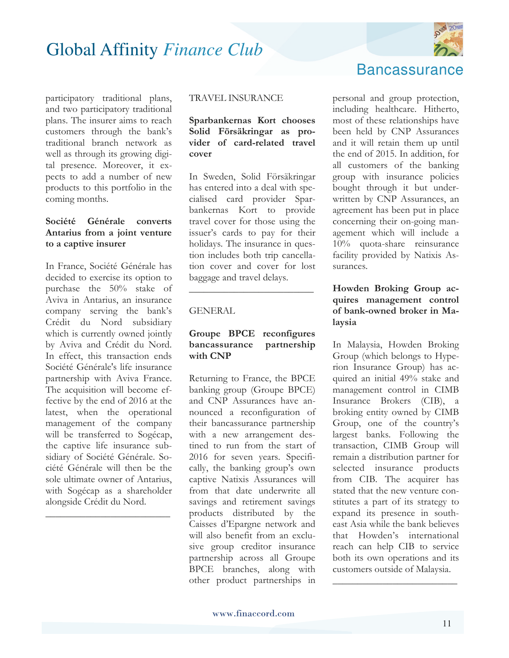

participatory traditional plans, and two participatory traditional plans. The insurer aims to reach customers through the bank's traditional branch network as well as through its growing digital presence. Moreover, it expects to add a number of new products to this portfolio in the coming months.

### **Société Générale converts Antarius from a joint venture to a captive insurer**

In France, Société Générale has decided to exercise its option to purchase the 50% stake of Aviva in Antarius, an insurance company serving the bank's Crédit du Nord subsidiary which is currently owned jointly by Aviva and Crédit du Nord. In effect, this transaction ends Société Générale's life insurance partnership with Aviva France. The acquisition will become effective by the end of 2016 at the latest, when the operational management of the company will be transferred to Sogécap, the captive life insurance subsidiary of Société Générale. Société Générale will then be the sole ultimate owner of Antarius, with Sogécap as a shareholder alongside Crédit du Nord.

\_\_\_\_\_\_\_\_\_\_\_\_\_\_\_\_\_\_\_\_\_\_\_\_\_

### TRAVEL INSURANCE

### **Sparbankernas Kort chooses Solid Försäkringar as provider of card-related travel cover**

In Sweden, Solid Försäkringar has entered into a deal with specialised card provider Sparbankernas Kort to provide travel cover for those using the issuer's cards to pay for their holidays. The insurance in question includes both trip cancellation cover and cover for lost baggage and travel delays.

### GENERAL

### **Groupe BPCE reconfigures bancassurance partnership with CNP**

\_\_\_\_\_\_\_\_\_\_\_\_\_\_\_\_\_\_\_\_\_\_\_\_\_

Returning to France, the BPCE banking group (Groupe BPCE) and CNP Assurances have announced a reconfiguration of their bancassurance partnership with a new arrangement destined to run from the start of 2016 for seven years. Specifically, the banking group's own captive Natixis Assurances will from that date underwrite all savings and retirement savings products distributed by the Caisses d'Epargne network and will also benefit from an exclusive group creditor insurance partnership across all Groupe BPCE branches, along with other product partnerships in



personal and group protection, including healthcare. Hitherto, most of these relationships have been held by CNP Assurances and it will retain them up until the end of 2015. In addition, for all customers of the banking group with insurance policies bought through it but underwritten by CNP Assurances, an agreement has been put in place concerning their on-going management which will include a 10% quota-share reinsurance facility provided by Natixis Assurances.

### **Howden Broking Group acquires management control of bank-owned broker in Malaysia**

In Malaysia, Howden Broking Group (which belongs to Hyperion Insurance Group) has acquired an initial 49% stake and management control in CIMB Insurance Brokers (CIB), a broking entity owned by CIMB Group, one of the country's largest banks. Following the transaction, CIMB Group will remain a distribution partner for selected insurance products from CIB. The acquirer has stated that the new venture constitutes a part of its strategy to expand its presence in southeast Asia while the bank believes that Howden's international reach can help CIB to service both its own operations and its customers outside of Malaysia.

\_\_\_\_\_\_\_\_\_\_\_\_\_\_\_\_\_\_\_\_\_\_\_\_\_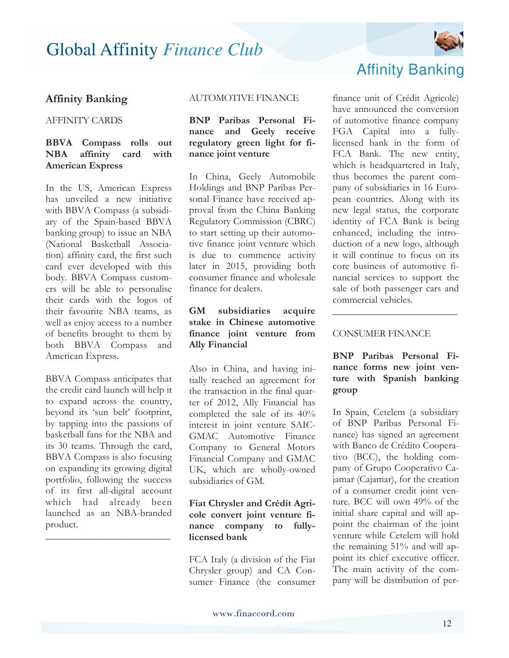

### **Affinity Banking**

AFFINITY CARDS

### **BBVA Compass rolls out NBA affinity card with American Express**

In the US, American Express has unveiled a new initiative with BBVA Compass (a subsidiary of the Spain-based BBVA banking group) to issue an NBA (National Basketball Association) affinity card, the first such card ever developed with this body. BBVA Compass customers will be able to personalise their cards with the logos of their favourite NBA teams, as well as enjoy access to a number of benefits brought to them by both BBVA Compass and American Express.

BBVA Compass anticipates that the credit card launch will help it to expand across the country, beyond its 'sun belt' footprint, by tapping into the passions of basketball fans for the NBA and its 30 teams. Through the card, BBVA Compass is also focusing on expanding its growing digital portfolio, following the success of its first all-digital account which had already been launched as an NBA-branded product.

\_\_\_\_\_\_\_\_\_\_\_\_\_\_\_\_\_\_\_\_\_\_\_\_\_

#### AUTOMOTIVE FINANCE

### **BNP Paribas Personal Finance and Geely receive regulatory green light for finance joint venture**

In China, Geely Automobile Holdings and BNP Paribas Personal Finance have received approval from the China Banking Regulatory Commission (CBRC) to start setting up their automotive finance joint venture which is due to commence activity later in 2015, providing both consumer finance and wholesale finance for dealers.

### **GM subsidiaries acquire stake in Chinese automotive finance joint venture from Ally Financial**

Also in China, and having initially reached an agreement for the transaction in the final quarter of 2012, Ally Financial has completed the sale of its 40% interest in joint venture SAIC-GMAC Automotive Finance Company to General Motors Financial Company and GMAC UK, which are wholly-owned subsidiaries of GM.

### **Fiat Chrysler and Crédit Agricole convert joint venture finance company to fullylicensed bank**

FCA Italy (a division of the Fiat Chrysler group) and CA Consumer Finance (the consumer



finance unit of Crédit Agricole) have announced the conversion of automotive finance company FGA Capital into a fullylicensed bank in the form of FCA Bank. The new entity, which is headquartered in Italy, thus becomes the parent company of subsidiaries in 16 European countries. Along with its new legal status, the corporate identity of FCA Bank is being enhanced, including the introduction of a new logo, although it will continue to focus on its core business of automotive financial services to support the sale of both passenger cars and commercial vehicles.

### CONSUMER FINANCE

### **BNP Paribas Personal Finance forms new joint venture with Spanish banking group**

\_\_\_\_\_\_\_\_\_\_\_\_\_\_\_\_\_\_\_\_\_\_\_\_\_

In Spain, Cetelem (a subsidiary of BNP Paribas Personal Finance) has signed an agreement with Banco de Crédito Cooperativo (BCC), the holding company of Grupo Cooperativo Cajamar (Cajamar), for the creation of a consumer credit joint venture. BCC will own 49% of the initial share capital and will appoint the chairman of the joint venture while Cetelem will hold the remaining 51% and will appoint its chief executive officer. The main activity of the company will be distribution of per-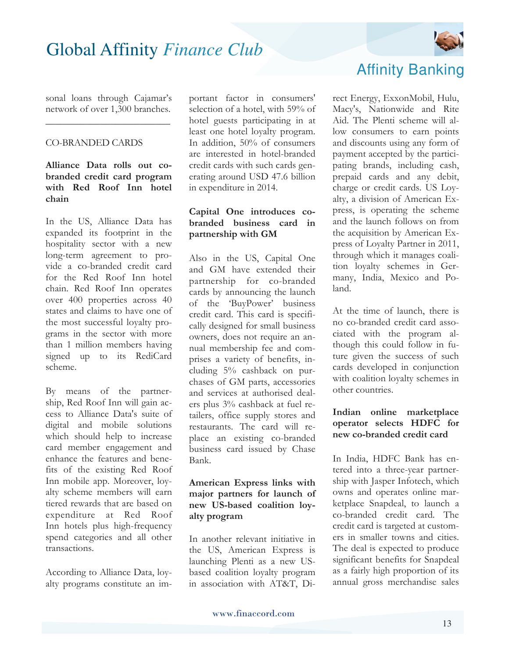

sonal loans through Cajamar's network of over 1,300 branches.

\_\_\_\_\_\_\_\_\_\_\_\_\_\_\_\_\_\_\_\_\_\_\_\_\_

### CO-BRANDED CARDS

### **Alliance Data rolls out cobranded credit card program with Red Roof Inn hotel chain**

In the US, Alliance Data has expanded its footprint in the hospitality sector with a new long-term agreement to provide a co-branded credit card for the Red Roof Inn hotel chain. Red Roof Inn operates over 400 properties across 40 states and claims to have one of the most successful loyalty programs in the sector with more than 1 million members having signed up to its RediCard scheme.

By means of the partnership, Red Roof Inn will gain access to Alliance Data's suite of digital and mobile solutions which should help to increase card member engagement and enhance the features and benefits of the existing Red Roof Inn mobile app. Moreover, loyalty scheme members will earn tiered rewards that are based on expenditure at Red Roof Inn hotels plus high-frequency spend categories and all other transactions.

According to Alliance Data, loyalty programs constitute an important factor in consumers' selection of a hotel, with 59% of hotel guests participating in at least one hotel loyalty program. In addition, 50% of consumers are interested in hotel-branded credit cards with such cards generating around USD 47.6 billion in expenditure in 2014.

### **Capital One introduces cobranded business card in partnership with GM**

Also in the US, Capital One and GM have extended their partnership for co-branded cards by announcing the launch of the 'BuyPower' business credit card. This card is specifically designed for small business owners, does not require an annual membership fee and comprises a variety of benefits, including 5% cashback on purchases of GM parts, accessories and services at authorised dealers plus 3% cashback at fuel retailers, office supply stores and restaurants. The card will replace an existing co-branded business card issued by Chase Bank.

### **American Express links with major partners for launch of new US-based coalition loyalty program**

In another relevant initiative in the US, American Express is launching Plenti as a new USbased coalition loyalty program in association with AT&T, Di-



rect Energy, ExxonMobil, Hulu, Macy's, Nationwide and Rite Aid. The Plenti scheme will allow consumers to earn points and discounts using any form of payment accepted by the participating brands, including cash, prepaid cards and any debit, charge or credit cards. US Loyalty, a division of American Express, is operating the scheme and the launch follows on from the acquisition by American Express of Loyalty Partner in 2011, through which it manages coalition loyalty schemes in Germany, India, Mexico and Poland.

At the time of launch, there is no co-branded credit card associated with the program although this could follow in future given the success of such cards developed in conjunction with coalition loyalty schemes in other countries.

### **Indian online marketplace operator selects HDFC for new co-branded credit card**

In India, HDFC Bank has entered into a three-year partnership with Jasper Infotech, which owns and operates online marketplace Snapdeal, to launch a co-branded credit card. The credit card is targeted at customers in smaller towns and cities. The deal is expected to produce significant benefits for Snapdeal as a fairly high proportion of its annual gross merchandise sales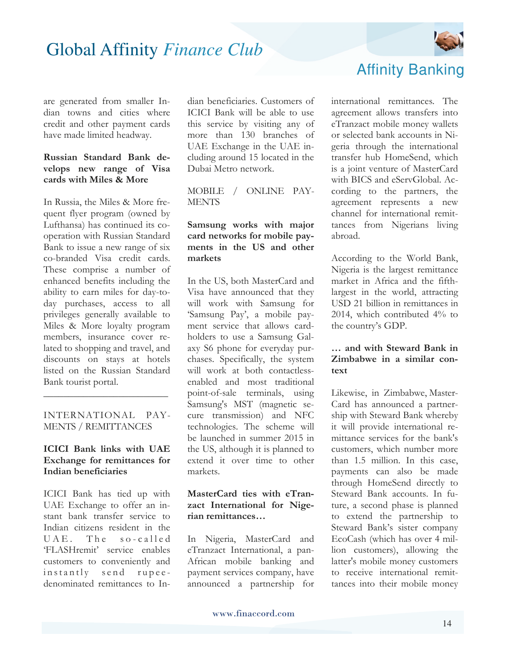

are generated from smaller Indian towns and cities where credit and other payment cards have made limited headway.

### **Russian Standard Bank develops new range of Visa cards with Miles & More**

In Russia, the Miles & More frequent flyer program (owned by Lufthansa) has continued its cooperation with Russian Standard Bank to issue a new range of six co-branded Visa credit cards. These comprise a number of enhanced benefits including the ability to earn miles for day-today purchases, access to all privileges generally available to Miles & More loyalty program members, insurance cover related to shopping and travel, and discounts on stays at hotels listed on the Russian Standard Bank tourist portal.

### INTERNATIONAL PAY-MENTS / REMITTANCES

\_\_\_\_\_\_\_\_\_\_\_\_\_\_\_\_\_\_\_\_\_\_\_\_\_

### **ICICI Bank links with UAE Exchange for remittances for Indian beneficiaries**

ICICI Bank has tied up with UAE Exchange to offer an instant bank transfer service to Indian citizens resident in the  $UAE$ . The so-called 'FLASHremit' service enables customers to conveniently and instantly send rupeedenominated remittances to Indian beneficiaries. Customers of ICICI Bank will be able to use this service by visiting any of more than 130 branches of UAE Exchange in the UAE including around 15 located in the Dubai Metro network.

MOBILE / ONLINE PAY-**MENTS** 

### **Samsung works with major card networks for mobile payments in the US and other markets**

In the US, both MasterCard and Visa have announced that they will work with Samsung for 'Samsung Pay', a mobile payment service that allows cardholders to use a Samsung Galaxy S6 phone for everyday purchases. Specifically, the system will work at both contactlessenabled and most traditional point-of-sale terminals, using Samsung's MST (magnetic secure transmission) and NFC technologies. The scheme will be launched in summer 2015 in the US, although it is planned to extend it over time to other markets.

### **MasterCard ties with eTranzact International for Nigerian remittances…**

In Nigeria, MasterCard and eTranzact International, a pan-African mobile banking and payment services company, have announced a partnership for

Affinity Banking

international remittances. The agreement allows transfers into eTranzact mobile money wallets or selected bank accounts in Nigeria through the international transfer hub HomeSend, which is a joint venture of MasterCard with BICS and eServGlobal. According to the partners, the agreement represents a new channel for international remittances from Nigerians living abroad.

According to the World Bank, Nigeria is the largest remittance market in Africa and the fifthlargest in the world, attracting USD 21 billion in remittances in 2014, which contributed 4% to the country's GDP.

### **… and with Steward Bank in Zimbabwe in a similar context**

Likewise, in Zimbabwe, Master-Card has announced a partnership with Steward Bank whereby it will provide international remittance services for the bank's customers, which number more than 1.5 million. In this case, payments can also be made through HomeSend directly to Steward Bank accounts. In future, a second phase is planned to extend the partnership to Steward Bank's sister company EcoCash (which has over 4 million customers), allowing the latter's mobile money customers to receive international remittances into their mobile money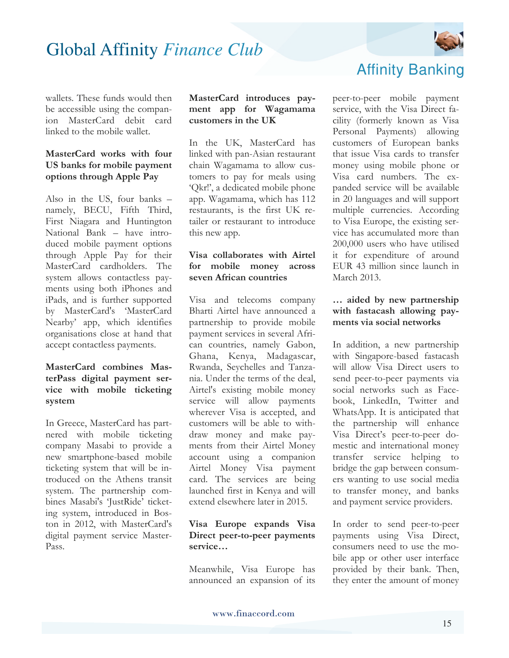

wallets. These funds would then be accessible using the companion MasterCard debit card linked to the mobile wallet.

### **MasterCard works with four US banks for mobile payment options through Apple Pay**

Also in the US, four banks – namely, BECU, Fifth Third, First Niagara and Huntington National Bank – have introduced mobile payment options through Apple Pay for their MasterCard cardholders. The system allows contactless payments using both iPhones and iPads, and is further supported by MasterCard's 'MasterCard Nearby' app, which identifies organisations close at hand that accept contactless payments.

### **MasterCard combines MasterPass digital payment service with mobile ticketing system**

In Greece, MasterCard has partnered with mobile ticketing company Masabi to provide a new smartphone-based mobile ticketing system that will be introduced on the Athens transit system. The partnership combines Masabi's 'JustRide' ticketing system, introduced in Boston in 2012, with MasterCard's digital payment service Master-Pass.

### **MasterCard introduces payment app for Wagamama customers in the UK**

In the UK, MasterCard has linked with pan-Asian restaurant chain Wagamama to allow customers to pay for meals using 'Qkr!', a dedicated mobile phone app. Wagamama, which has 112 restaurants, is the first UK retailer or restaurant to introduce this new app.

### **Visa collaborates with Airtel for mobile money across seven African countries**

Visa and telecoms company Bharti Airtel have announced a partnership to provide mobile payment services in several African countries, namely Gabon, Ghana, Kenya, Madagascar, Rwanda, Seychelles and Tanzania. Under the terms of the deal, Airtel's existing mobile money service will allow payments wherever Visa is accepted, and customers will be able to withdraw money and make payments from their Airtel Money account using a companion Airtel Money Visa payment card. The services are being launched first in Kenya and will extend elsewhere later in 2015.

### **Visa Europe expands Visa Direct peer-to-peer payments service…**

Meanwhile, Visa Europe has announced an expansion of its

## Affinity Banking

peer-to-peer mobile payment service, with the Visa Direct facility (formerly known as Visa Personal Payments) allowing customers of European banks that issue Visa cards to transfer money using mobile phone or Visa card numbers. The expanded service will be available in 20 languages and will support multiple currencies. According to Visa Europe, the existing service has accumulated more than 200,000 users who have utilised it for expenditure of around EUR 43 million since launch in March 2013.

### **… aided by new partnership with fastacash allowing payments via social networks**

In addition, a new partnership with Singapore-based fastacash will allow Visa Direct users to send peer-to-peer payments via social networks such as Facebook, LinkedIn, Twitter and WhatsApp. It is anticipated that the partnership will enhance Visa Direct's peer-to-peer domestic and international money transfer service helping to bridge the gap between consumers wanting to use social media to transfer money, and banks and payment service providers.

In order to send peer-to-peer payments using Visa Direct, consumers need to use the mobile app or other user interface provided by their bank. Then, they enter the amount of money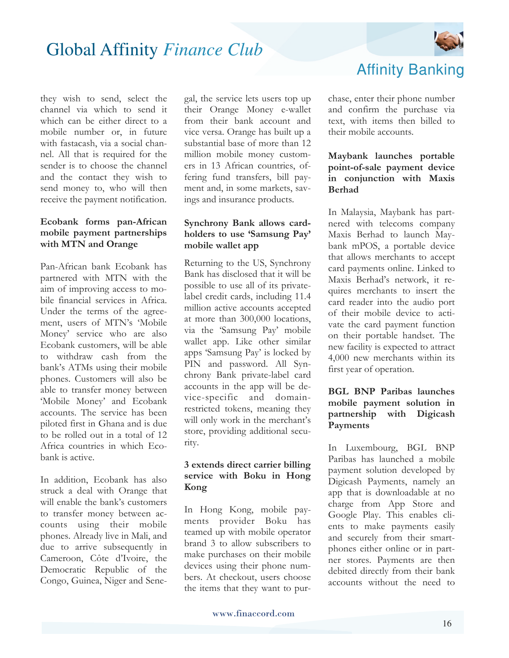

they wish to send, select the channel via which to send it which can be either direct to a mobile number or, in future with fastacash, via a social channel. All that is required for the sender is to choose the channel and the contact they wish to send money to, who will then receive the payment notification.

### **Ecobank forms pan-African mobile payment partnerships with MTN and Orange**

Pan-African bank Ecobank has partnered with MTN with the aim of improving access to mobile financial services in Africa. Under the terms of the agreement, users of MTN's 'Mobile Money' service who are also Ecobank customers, will be able to withdraw cash from the bank's ATMs using their mobile phones. Customers will also be able to transfer money between 'Mobile Money' and Ecobank accounts. The service has been piloted first in Ghana and is due to be rolled out in a total of 12 Africa countries in which Ecobank is active.

In addition, Ecobank has also struck a deal with Orange that will enable the bank's customers to transfer money between accounts using their mobile phones. Already live in Mali, and due to arrive subsequently in Cameroon, Côte d'Ivoire, the Democratic Republic of the Congo, Guinea, Niger and Senegal, the service lets users top up their Orange Money e-wallet from their bank account and vice versa. Orange has built up a substantial base of more than 12 million mobile money customers in 13 African countries, offering fund transfers, bill payment and, in some markets, savings and insurance products.

### **Synchrony Bank allows cardholders to use 'Samsung Pay' mobile wallet app**

Returning to the US, Synchrony Bank has disclosed that it will be possible to use all of its privatelabel credit cards, including 11.4 million active accounts accepted at more than 300,000 locations, via the 'Samsung Pay' mobile wallet app. Like other similar apps 'Samsung Pay' is locked by PIN and password. All Synchrony Bank private-label card accounts in the app will be device-specific and domainrestricted tokens, meaning they will only work in the merchant's store, providing additional security.

### **3 extends direct carrier billing service with Boku in Hong Kong**

In Hong Kong, mobile payments provider Boku has teamed up with mobile operator brand 3 to allow subscribers to make purchases on their mobile devices using their phone numbers. At checkout, users choose the items that they want to purAffinity Banking

chase, enter their phone number and confirm the purchase via text, with items then billed to their mobile accounts.

### **Maybank launches portable point-of-sale payment device in conjunction with Maxis Berhad**

In Malaysia, Maybank has partnered with telecoms company Maxis Berhad to launch Maybank mPOS, a portable device that allows merchants to accept card payments online. Linked to Maxis Berhad's network, it requires merchants to insert the card reader into the audio port of their mobile device to activate the card payment function on their portable handset. The new facility is expected to attract 4,000 new merchants within its first year of operation.

### **BGL BNP Paribas launches mobile payment solution in partnership with Digicash Payments**

In Luxembourg, BGL BNP Paribas has launched a mobile payment solution developed by Digicash Payments, namely an app that is downloadable at no charge from App Store and Google Play. This enables clients to make payments easily and securely from their smartphones either online or in partner stores. Payments are then debited directly from their bank accounts without the need to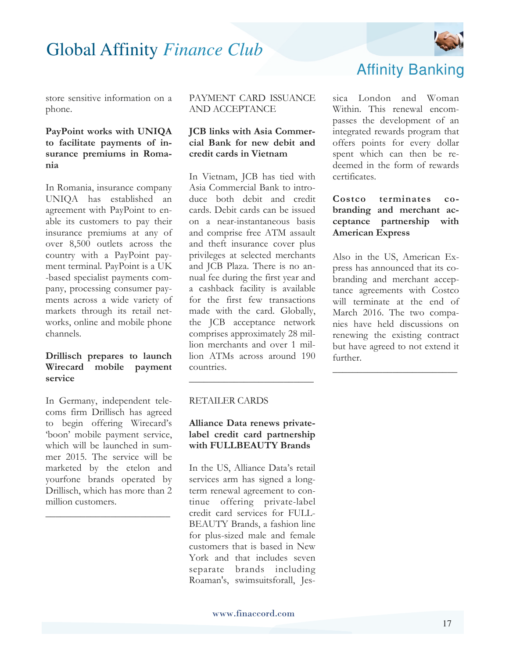

store sensitive information on a phone.

### **PayPoint works with UNIQA to facilitate payments of insurance premiums in Romania**

In Romania, insurance company UNIQA has established an agreement with PayPoint to enable its customers to pay their insurance premiums at any of over 8,500 outlets across the country with a PayPoint payment terminal. PayPoint is a UK -based specialist payments company, processing consumer payments across a wide variety of markets through its retail networks, online and mobile phone channels.

### **Drillisch prepares to launch Wirecard mobile payment service**

In Germany, independent telecoms firm Drillisch has agreed to begin offering Wirecard's 'boon' mobile payment service, which will be launched in summer 2015. The service will be marketed by the etelon and yourfone brands operated by Drillisch, which has more than 2 million customers.

\_\_\_\_\_\_\_\_\_\_\_\_\_\_\_\_\_\_\_\_\_\_\_\_\_

### PAYMENT CARD ISSUANCE AND ACCEPTANCE

### **JCB links with Asia Commercial Bank for new debit and credit cards in Vietnam**

In Vietnam, JCB has tied with Asia Commercial Bank to introduce both debit and credit cards. Debit cards can be issued on a near-instantaneous basis and comprise free ATM assault and theft insurance cover plus privileges at selected merchants and JCB Plaza. There is no annual fee during the first year and a cashback facility is available for the first few transactions made with the card. Globally, the JCB acceptance network comprises approximately 28 million merchants and over 1 million ATMs across around 190 countries.

### RETAILER CARDS

### **Alliance Data renews privatelabel credit card partnership with FULLBEAUTY Brands**

\_\_\_\_\_\_\_\_\_\_\_\_\_\_\_\_\_\_\_\_\_\_\_\_\_

In the US, Alliance Data's retail services arm has signed a longterm renewal agreement to continue offering private-label credit card services for FULL-BEAUTY Brands, a fashion line for plus-sized male and female customers that is based in New York and that includes seven separate brands including Roaman's, swimsuitsforall, Jes-



sica London and Woman Within. This renewal encompasses the development of an integrated rewards program that offers points for every dollar spent which can then be redeemed in the form of rewards certificates.

### **Costco terminates cobranding and merchant acceptance partnership with American Express**

Also in the US, American Express has announced that its cobranding and merchant acceptance agreements with Costco will terminate at the end of March 2016. The two companies have held discussions on renewing the existing contract but have agreed to not extend it further.

\_\_\_\_\_\_\_\_\_\_\_\_\_\_\_\_\_\_\_\_\_\_\_\_\_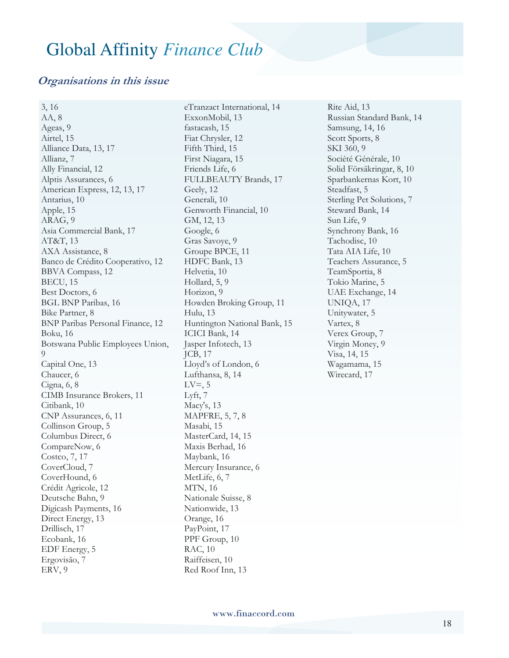### **Organisations in this issue**

3, 16 AA, 8 Ageas, 9 Airtel, 15 Alliance Data, 13, 17 Allianz, 7 Ally Financial, 12 Alptis Assurances, 6 American Express, 12, 13, 17 Antarius, 10 Apple, 15 ARAG, 9 Asia Commercial Bank, 17 AT&T, 13 AXA Assistance, 8 Banco de Crédito Cooperativo, 12 BBVA Compass, 12 BECU, 15 Best Doctors, 6 BGL BNP Paribas, 16 Bike Partner, 8 BNP Paribas Personal Finance, 12 Boku, 16 Botswana Public Employees Union, 9 Capital One, 13 Chaucer, 6 Cigna, 6, 8 CIMB Insurance Brokers, 11 Citibank, 10 CNP Assurances, 6, 11 Collinson Group, 5 Columbus Direct, 6 CompareNow, 6 Costco, 7, 17 CoverCloud, 7 CoverHound, 6 Crédit Agricole, 12 Deutsche Bahn, 9 Digicash Payments, 16 Direct Energy, 13 Drillisch, 17 Ecobank, 16 EDF Energy, 5 Ergovisão, 7 ERV, 9

eTranzact International, 14 ExxonMobil, 13 fastacash, 15 Fiat Chrysler, 12 Fifth Third, 15 First Niagara, 15 Friends Life, 6 FULLBEAUTY Brands, 17 Geely, 12 Generali, 10 Genworth Financial, 10 GM, 12, 13 Google, 6 Gras Savoye, 9 Groupe BPCE, 11 HDFC Bank, 13 Helvetia, 10 Hollard, 5, 9 Horizon, 9 Howden Broking Group, 11 Hulu, 13 Huntington National Bank, 15 ICICI Bank, 14 Jasper Infotech, 13 JCB, 17 Lloyd's of London, 6 Lufthansa, 8, 14  $LV=$ , 5 Lyft, 7 Macy's, 13 MAPFRE, 5, 7, 8 Masabi, 15 MasterCard, 14, 15 Maxis Berhad, 16 Maybank, 16 Mercury Insurance, 6 MetLife, 6, 7 MTN, 16 Nationale Suisse, 8 Nationwide, 13 Orange, 16 PayPoint, 17 PPF Group, 10 RAC, 10 Raiffeisen, 10 Red Roof Inn, 13

Rite Aid, 13 Russian Standard Bank, 14 Samsung, 14, 16 Scott Sports, 8 SKI 360, 9 Société Générale, 10 Solid Försäkringar, 8, 10 Sparbankernas Kort, 10 Steadfast, 5 Sterling Pet Solutions, 7 Steward Bank, 14 Sun Life, 9 Synchrony Bank, 16 Tachodisc, 10 Tata AIA Life, 10 Teachers Assurance, 5 TeamSportia, 8 Tokio Marine, 5 UAE Exchange, 14 UNIQA, 17 Unitywater, 5 Vartex, 8 Verex Group, 7 Virgin Money, 9 Visa, 14, 15 Wagamama, 15 Wirecard, 17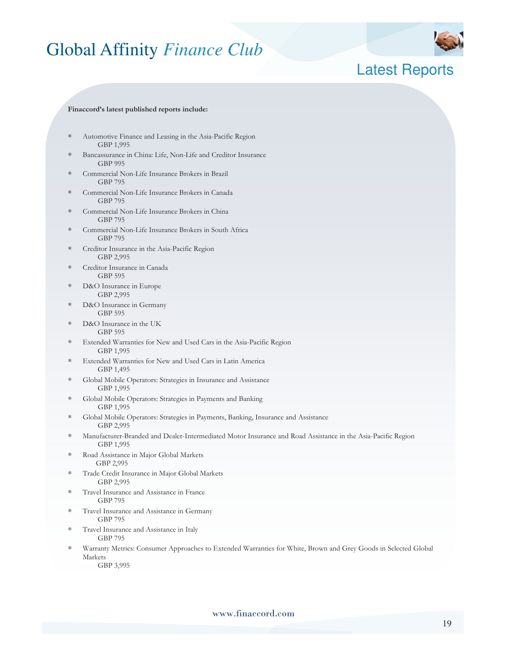

## Latest Reports

#### **Finaccord's latest published reports include:**

- Automotive Finance and Leasing in the Asia-Pacific Region GBP 1,995
- Bancassurance in China: Life, Non-Life and Creditor Insurance GBP 995
- Commercial Non-Life Insurance Brokers in Brazil GBP 795
- ∗ Commercial Non-Life Insurance Brokers in Canada GBP 795
- ∗ Commercial Non-Life Insurance Brokers in China GBP 795
- Commercial Non-Life Insurance Brokers in South Africa GBP 795
- Creditor Insurance in the Asia-Pacific Region GBP 2,995
- Creditor Insurance in Canada GBP 595
- ∗ D&O Insurance in Europe GBP 2,995
- D&O Insurance in Germany GBP 595
- ∗ D&O Insurance in the UK GBP 595
- ∗ Extended Warranties for New and Used Cars in the Asia-Pacific Region GBP 1,995
- ∗ Extended Warranties for New and Used Cars in Latin America GBP 1,495
- Global Mobile Operators: Strategies in Insurance and Assistance GBP 1,995
- Global Mobile Operators: Strategies in Payments and Banking GBP 1,995
- ∗ Global Mobile Operators: Strategies in Payments, Banking, Insurance and Assistance GBP 2,995
- ∗ Manufacturer-Branded and Dealer-Intermediated Motor Insurance and Road Assistance in the Asia-Pacific Region GBP 1,995
- ∗ Road Assistance in Major Global Markets GBP 2,995
- ∗ Trade Credit Insurance in Major Global Markets GBP 2,995
- ∗ Travel Insurance and Assistance in France GBP 795
- ∗ Travel Insurance and Assistance in Germany GBP 795
- Travel Insurance and Assistance in Italy GBP 795
- Warranty Metrics: Consumer Approaches to Extended Warranties for White, Brown and Grey Goods in Selected Global Markets

GBP 3,995